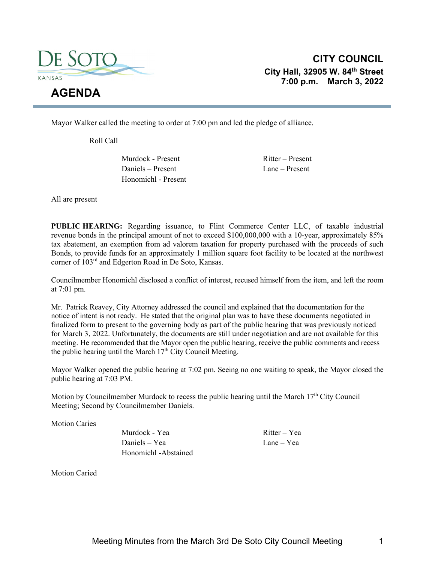

**CITY COUNCIL City Hall, 32905 W. 84th Street 7:00 p.m. March 3, 2022** 

Mayor Walker called the meeting to order at 7:00 pm and led the pledge of alliance.

Roll Call

Murdock - Present Ritter – Present Daniels – Present Lane – Present Honomichl - Present

All are present

**PUBLIC HEARING:** Regarding issuance, to Flint Commerce Center LLC, of taxable industrial revenue bonds in the principal amount of not to exceed \$100,000,000 with a 10-year, approximately 85% tax abatement, an exemption from ad valorem taxation for property purchased with the proceeds of such Bonds, to provide funds for an approximately 1 million square foot facility to be located at the northwest corner of 103rd and Edgerton Road in De Soto, Kansas.

Councilmember Honomichl disclosed a conflict of interest, recused himself from the item, and left the room at 7:01 pm.

Mr. Patrick Reavey, City Attorney addressed the council and explained that the documentation for the notice of intent is not ready. He stated that the original plan was to have these documents negotiated in finalized form to present to the governing body as part of the public hearing that was previously noticed for March 3, 2022. Unfortunately, the documents are still under negotiation and are not available for this meeting. He recommended that the Mayor open the public hearing, receive the public comments and recess the public hearing until the March  $17<sup>th</sup>$  City Council Meeting.

Mayor Walker opened the public hearing at 7:02 pm. Seeing no one waiting to speak, the Mayor closed the public hearing at 7:03 PM.

Motion by Councilmember Murdock to recess the public hearing until the March  $17<sup>th</sup>$  City Council Meeting; Second by Councilmember Daniels.

Motion Caries

Murdock - Yea Ritter – Yea Daniels – Yea Lane – Yea Honomichl -Abstained

Motion Caried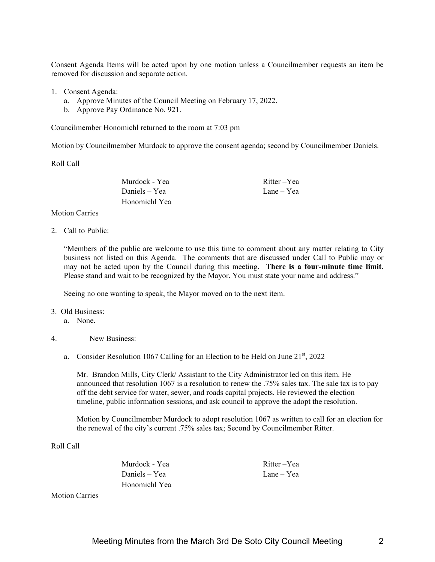Consent Agenda Items will be acted upon by one motion unless a Councilmember requests an item be removed for discussion and separate action.

- 1. Consent Agenda:
	- a. Approve Minutes of the Council Meeting on February 17, 2022.
	- b. Approve Pay Ordinance No. 921.

Councilmember Honomichl returned to the room at 7:03 pm

Motion by Councilmember Murdock to approve the consent agenda; second by Councilmember Daniels.

Roll Call

Daniels – Yea Lane – Yea Honomichl Yea

Murdock - Yea Ritter – Yea

Motion Carries

2. Call to Public:

"Members of the public are welcome to use this time to comment about any matter relating to City business not listed on this Agenda. The comments that are discussed under Call to Public may or may not be acted upon by the Council during this meeting. **There is a four-minute time limit.** Please stand and wait to be recognized by the Mayor. You must state your name and address."

Seeing no one wanting to speak, the Mayor moved on to the next item.

## 3. Old Business:

- a. None.
- 4. New Business:
	- a. Consider Resolution 1067 Calling for an Election to be Held on June 21st, 2022

Mr. Brandon Mills, City Clerk/ Assistant to the City Administrator led on this item. He announced that resolution 1067 is a resolution to renew the .75% sales tax. The sale tax is to pay off the debt service for water, sewer, and roads capital projects. He reviewed the election timeline, public information sessions, and ask council to approve the adopt the resolution.

Motion by Councilmember Murdock to adopt resolution 1067 as written to call for an election for the renewal of the city's current .75% sales tax; Second by Councilmember Ritter.

Roll Call

Murdock - Yea Ritter – Yea Daniels – Yea Lane – Yea Honomichl Yea

Motion Carries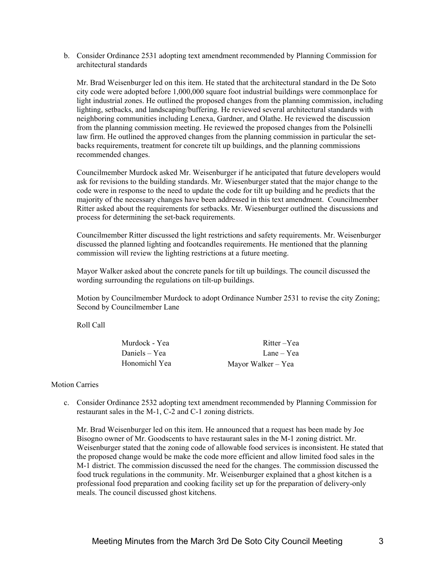b. Consider Ordinance 2531 adopting text amendment recommended by Planning Commission for architectural standards

Mr. Brad Weisenburger led on this item. He stated that the architectural standard in the De Soto city code were adopted before 1,000,000 square foot industrial buildings were commonplace for light industrial zones. He outlined the proposed changes from the planning commission, including lighting, setbacks, and landscaping/buffering. He reviewed several architectural standards with neighboring communities including Lenexa, Gardner, and Olathe. He reviewed the discussion from the planning commission meeting. He reviewed the proposed changes from the Polsinelli law firm. He outlined the approved changes from the planning commission in particular the setbacks requirements, treatment for concrete tilt up buildings, and the planning commissions recommended changes.

Councilmember Murdock asked Mr. Weisenburger if he anticipated that future developers would ask for revisions to the building standards. Mr. Wiesenburger stated that the major change to the code were in response to the need to update the code for tilt up building and he predicts that the majority of the necessary changes have been addressed in this text amendment. Councilmember Ritter asked about the requirements for setbacks. Mr. Wiesenburger outlined the discussions and process for determining the set-back requirements.

Councilmember Ritter discussed the light restrictions and safety requirements. Mr. Weisenburger discussed the planned lighting and footcandles requirements. He mentioned that the planning commission will review the lighting restrictions at a future meeting.

Mayor Walker asked about the concrete panels for tilt up buildings. The council discussed the wording surrounding the regulations on tilt-up buildings.

Motion by Councilmember Murdock to adopt Ordinance Number 2531 to revise the city Zoning; Second by Councilmember Lane

Roll Call

| Murdock - Yea | Ritter-Yea         |
|---------------|--------------------|
| Daniels – Yea | Lane – Yea         |
| Honomichl Yea | Mayor Walker – Yea |

## Motion Carries

c. Consider Ordinance 2532 adopting text amendment recommended by Planning Commission for restaurant sales in the M-1, C-2 and C-1 zoning districts.

Mr. Brad Weisenburger led on this item. He announced that a request has been made by Joe Bisogno owner of Mr. Goodscents to have restaurant sales in the M-1 zoning district. Mr. Weisenburger stated that the zoning code of allowable food services is inconsistent. He stated that the proposed change would be make the code more efficient and allow limited food sales in the M-1 district. The commission discussed the need for the changes. The commission discussed the food truck regulations in the community. Mr. Weisenburger explained that a ghost kitchen is a professional food preparation and cooking facility set up for the preparation of delivery-only meals. The council discussed ghost kitchens.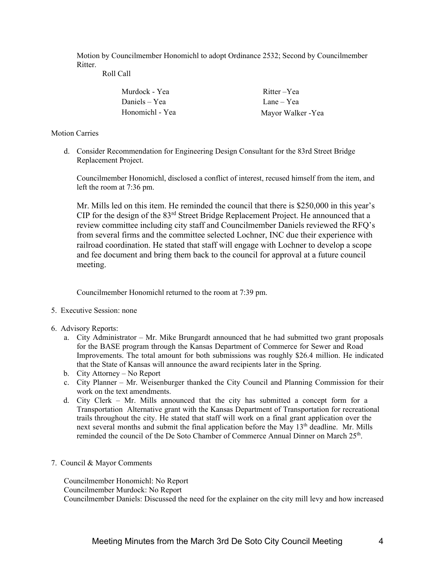Motion by Councilmember Honomichl to adopt Ordinance 2532; Second by Councilmember Ritter.

Roll Call

| Murdock - Yea   | Ritter-Yea        |
|-----------------|-------------------|
| Daniels – Yea   | Lane – Yea        |
| Honomichl - Yea | Mayor Walker -Yea |

## Motion Carries

d. Consider Recommendation for Engineering Design Consultant for the 83rd Street Bridge Replacement Project.

Councilmember Honomichl, disclosed a conflict of interest, recused himself from the item, and left the room at 7:36 pm.

Mr. Mills led on this item. He reminded the council that there is \$250,000 in this year's CIP for the design of the 83rd Street Bridge Replacement Project. He announced that a review committee including city staff and Councilmember Daniels reviewed the RFQ's from several firms and the committee selected Lochner, INC due their experience with railroad coordination. He stated that staff will engage with Lochner to develop a scope and fee document and bring them back to the council for approval at a future council meeting.

Councilmember Honomichl returned to the room at 7:39 pm.

- 5. Executive Session: none
- 6. Advisory Reports:
	- a. City Administrator Mr. Mike Brungardt announced that he had submitted two grant proposals for the BASE program through the Kansas Department of Commerce for Sewer and Road Improvements. The total amount for both submissions was roughly \$26.4 million. He indicated that the State of Kansas will announce the award recipients later in the Spring.
	- b. City Attorney No Report
	- c. City Planner Mr. Weisenburger thanked the City Council and Planning Commission for their work on the text amendments.
	- d. City Clerk Mr. Mills announced that the city has submitted a concept form for a Transportation Alternative grant with the Kansas Department of Transportation for recreational trails throughout the city. He stated that staff will work on a final grant application over the next several months and submit the final application before the May  $13<sup>th</sup>$  deadline. Mr. Mills reminded the council of the De Soto Chamber of Commerce Annual Dinner on March 25<sup>th</sup>.
- 7. Council & Mayor Comments

Councilmember Honomichl: No Report Councilmember Murdock: No Report Councilmember Daniels: Discussed the need for the explainer on the city mill levy and how increased